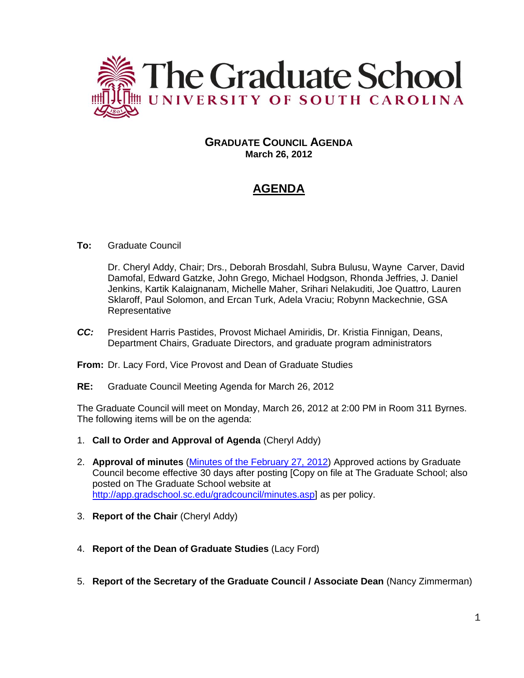

## **GRADUATE COUNCIL AGENDA March 26, 2012**

# **AGENDA**

#### **To:** Graduate Council

Dr. Cheryl Addy, Chair; Drs., Deborah Brosdahl, Subra Bulusu, Wayne Carver, David Damofal, Edward Gatzke, John Grego, Michael Hodgson, Rhonda Jeffries, J. Daniel Jenkins, Kartik Kalaignanam, Michelle Maher, Srihari Nelakuditi, Joe Quattro, Lauren Sklaroff, Paul Solomon, and Ercan Turk, Adela Vraciu; Robynn Mackechnie, GSA Representative

- *CC:* President Harris Pastides, Provost Michael Amiridis, Dr. Kristia Finnigan, Deans, Department Chairs, Graduate Directors, and graduate program administrators
- **From:** Dr. Lacy Ford, Vice Provost and Dean of Graduate Studies
- **RE:** Graduate Council Meeting Agenda for March 26, 2012

The Graduate Council will meet on Monday, March 26, 2012 at 2:00 PM in Room 311 Byrnes. The following items will be on the agenda:

- 1. **Call to Order and Approval of Agenda** (Cheryl Addy)
- 2. **Approval of minutes** [\(Minutes of the February 27, 2012\)](http://app.gradschool.sc.edu/includes/filedownload-public.asp?location=E:/GMS/GRADCOUNCIL/2011/GCMinutes022712.pdf&file_name=GCMinutes022712.pdf) Approved actions by Graduate Council become effective 30 days after posting [Copy on file at The Graduate School; also posted on The Graduate School website at [http://app.gradschool.sc.edu/gradcouncil/minutes.asp\]](http://app.gradschool.sc.edu/gradcouncil/minutes.asp) as per policy.
- 3. **Report of the Chair** (Cheryl Addy)
- 4. **Report of the Dean of Graduate Studies** (Lacy Ford)
- 5. **Report of the Secretary of the Graduate Council / Associate Dean** (Nancy Zimmerman)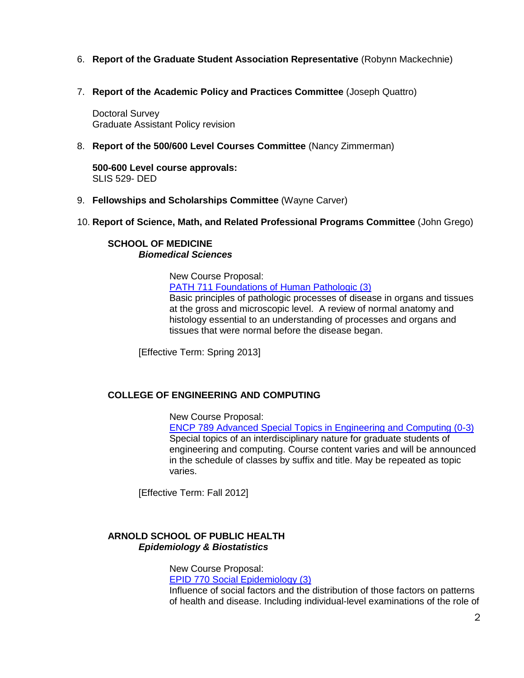- 6. **Report of the Graduate Student Association Representative** (Robynn Mackechnie)
- 7. **Report of the Academic Policy and Practices Committee** (Joseph Quattro)

Doctoral Survey Graduate Assistant Policy revision

8. **Report of the 500/600 Level Courses Committee** (Nancy Zimmerman)

**500-600 Level course approvals:** SLIS 529- DED

- 9. **Fellowships and Scholarships Committee** (Wayne Carver)
- 10. **Report of Science, Math, and Related Professional Programs Committee** (John Grego)

#### **SCHOOL OF MEDICINE** *Biomedical Sciences*

New Course Proposal: [PATH 711 Foundations of Human Pathologic \(3\)](http://app.gradschool.sc.edu/includes/filedownload-public.asp?location=E:/GMS/GRADCOUNCIL/2011/NCPPATH711_201141.pdf&file_name=NCPPATH711_201141.pdf) Basic principles of pathologic processes of disease in organs and tissues at the gross and microscopic level. A review of normal anatomy and histology essential to an understanding of processes and organs and tissues that were normal before the disease began.

[Effective Term: Spring 2013]

#### **COLLEGE OF ENGINEERING AND COMPUTING**

New Course Proposal:

[ENCP 789 Advanced Special Topics in Engineering and Computing \(0-3\)](http://app.gradschool.sc.edu/includes/filedownload-public.asp?location=E:/GMS/GRADCOUNCIL/2011/NCPENCP789_201211.pdf&file_name=NCPENCP789_201211.pdf) Special topics of an interdisciplinary nature for graduate students of engineering and computing. Course content varies and will be announced in the schedule of classes by suffix and title. May be repeated as topic varies.

[Effective Term: Fall 2012]

#### **ARNOLD SCHOOL OF PUBLIC HEALTH** *Epidemiology & Biostatistics*

New Course Proposal:

[EPID 770 Social Epidemiology \(3\)](http://app.gradschool.sc.edu/includes/filedownload-public.asp?location=E:/GMS/GRADCOUNCIL/2011/NCPEPID770_201211.pdf&file_name=NCPEPID770_201211.pdf)

Influence of social factors and the distribution of those factors on patterns of health and disease. Including individual-level examinations of the role of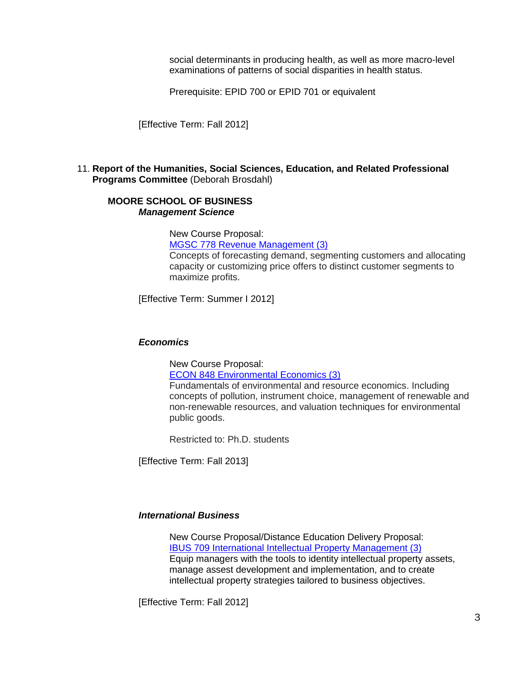social determinants in producing health, as well as more macro-level examinations of patterns of social disparities in health status.

Prerequisite: EPID 700 or EPID 701 or equivalent

[Effective Term: Fall 2012]

#### 11. **Report of the Humanities, Social Sciences, Education, and Related Professional Programs Committee** (Deborah Brosdahl)

#### **MOORE SCHOOL OF BUSINESS** *Management Science*

New Course Proposal: [MGSC 778 Revenue Management \(3\)](http://app.gradschool.sc.edu/includes/filedownload-public.asp?location=E:/GMS/GRADCOUNCIL/2011/NCPMGSC778_201211.pdf&file_name=NCPMGSC778_201211.pdf) Concepts of forecasting demand, segmenting customers and allocating capacity or customizing price offers to distinct customer segments to maximize profits.

[Effective Term: Summer I 2012]

#### *Economics*

New Course Proposal:

[ECON 848 Environmental Economics \(3\)](http://app.gradschool.sc.edu/includes/filedownload-public.asp?location=E:/GMS/GRADCOUNCIL/2011/NCPECON848_201211.pdf&file_name=NCPECON848_201211.pdf)

Fundamentals of environmental and resource economics. Including concepts of pollution, instrument choice, management of renewable and non-renewable resources, and valuation techniques for environmental public goods.

Restricted to: Ph.D. students

[Effective Term: Fall 2013]

#### *International Business*

New Course Proposal/Distance Education Delivery Proposal: [IBUS 709 International Intellectual Property Management \(3\)](http://app.gradschool.sc.edu/includes/filedownload-public.asp?location=E:/GMS/GRADCOUNCIL/2011/NCPIBUS709_201211.pdf&file_name=NCPIBUS709_201211.pdf) Equip managers with the tools to identity intellectual property assets, manage assest development and implementation, and to create intellectual property strategies tailored to business objectives.

[Effective Term: Fall 2012]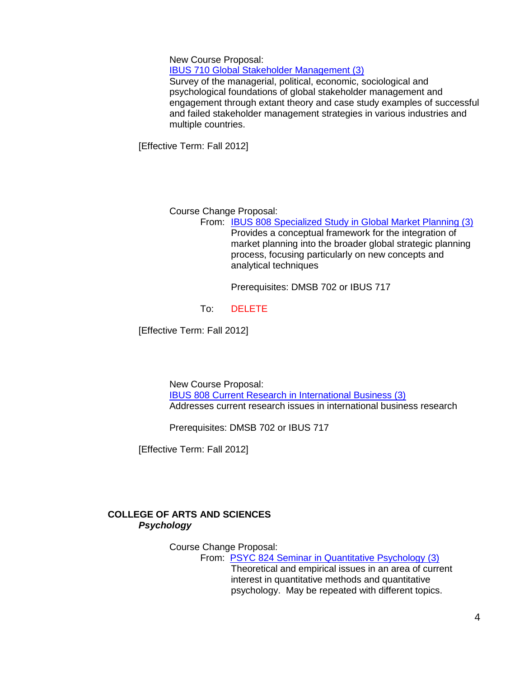New Course Proposal:

[IBUS 710 Global Stakeholder Management \(3\)](http://app.gradschool.sc.edu/includes/filedownload-public.asp?location=E:/GMS/GRADCOUNCIL/2011/NCPIBUS710_201211.pdf&file_name=NCPIBUS710_201211.pdf)

Survey of the managerial, political, economic, sociological and psychological foundations of global stakeholder management and engagement through extant theory and case study examples of successful and failed stakeholder management strategies in various industries and multiple countries.

[Effective Term: Fall 2012]

Course Change Proposal:

From: [IBUS 808 Specialized Study in Global Market Planning \(3\)](http://app.gradschool.sc.edu/includes/filedownload-public.asp?location=E:/GMS/GRADCOUNCIL/2011/CCPIBUS808_201211.pdf&file_name=CCPIBUS808_201211.pdf) Provides a conceptual framework for the integration of market planning into the broader global strategic planning process, focusing particularly on new concepts and analytical techniques

Prerequisites: DMSB 702 or IBUS 717

To: DELETE

[Effective Term: Fall 2012]

New Course Proposal: [IBUS 808 Current Research in International Business \(3\)](http://app.gradschool.sc.edu/includes/filedownload-public.asp?location=E:/GMS/GRADCOUNCIL/2011/NCPIBUS808_201211.pdf&file_name=NCPIBUS808_201211.pdf) Addresses current research issues in international business research

Prerequisites: DMSB 702 or IBUS 717

[Effective Term: Fall 2012]

## **COLLEGE OF ARTS AND SCIENCES** *Psychology*

Course Change Proposal:

From: PSYC 824 Seminar [in Quantitative Psychology \(3\)](http://gradschool.sc.edu/gradcouncil/curr_docs/CCPPSYC824_201211.pdf) Theoretical and empirical issues in an area of current interest in quantitative methods and quantitative psychology. May be repeated with different topics.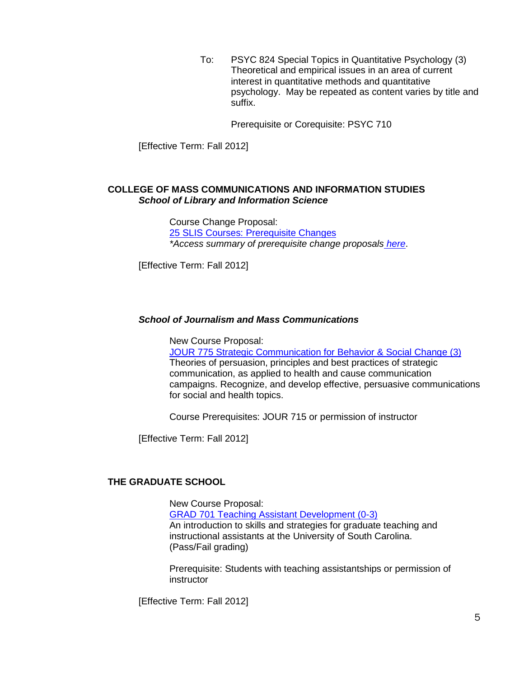To: PSYC 824 Special Topics in Quantitative Psychology (3) Theoretical and empirical issues in an area of current interest in quantitative methods and quantitative psychology. May be repeated as content varies by title and suffix.

Prerequisite or Corequisite: PSYC 710

[Effective Term: Fall 2012]

#### **COLLEGE OF MASS COMMUNICATIONS AND INFORMATION STUDIES** *School of Library and Information Science*

Course Change Proposal: [25 SLIS Courses: Prerequisite Changes](http://app.gradschool.sc.edu/includes/filedownload-public.asp?location=E:/GMS/GRADCOUNCIL/2011/CCPSLISPREREQ_201211.pdf&file_name=CCPSLISPREREQ_201211.pdf) *\*Access summary of prerequisite change proposals [here](http://gradschool.sc.edu/gradcouncil/docs/Attachments/25SLISPrerequisiteChanges.pdf)*.

[Effective Term: Fall 2012]

#### *School of Journalism and Mass Communications*

New Course Proposal:

[JOUR 775 Strategic Communication for Behavior & Social](http://app.gradschool.sc.edu/includes/filedownload-public.asp?location=E:/GMS/GRADCOUNCIL/2011/NCPJOUR775_201211.pdf&file_name=NCPJOUR775_201211.pdf) Change (3) Theories of persuasion, principles and best practices of strategic communication, as applied to health and cause communication campaigns. Recognize, and develop effective, persuasive communications for social and health topics.

Course Prerequisites: JOUR 715 or permission of instructor

[Effective Term: Fall 2012]

#### **THE GRADUATE SCHOOL**

New Course Proposal: [GRAD 701 Teaching Assistant Development \(0-3\)](http://app.gradschool.sc.edu/includes/filedownload-public.asp?location=E:/GMS/GRADCOUNCIL/2011/NCPGRAD701_2012.pdf&file_name=NCPGRAD701_2012.pdf) An introduction to skills and strategies for graduate teaching and instructional assistants at the University of South Carolina. (Pass/Fail grading)

Prerequisite: Students with teaching assistantships or permission of instructor

[Effective Term: Fall 2012]